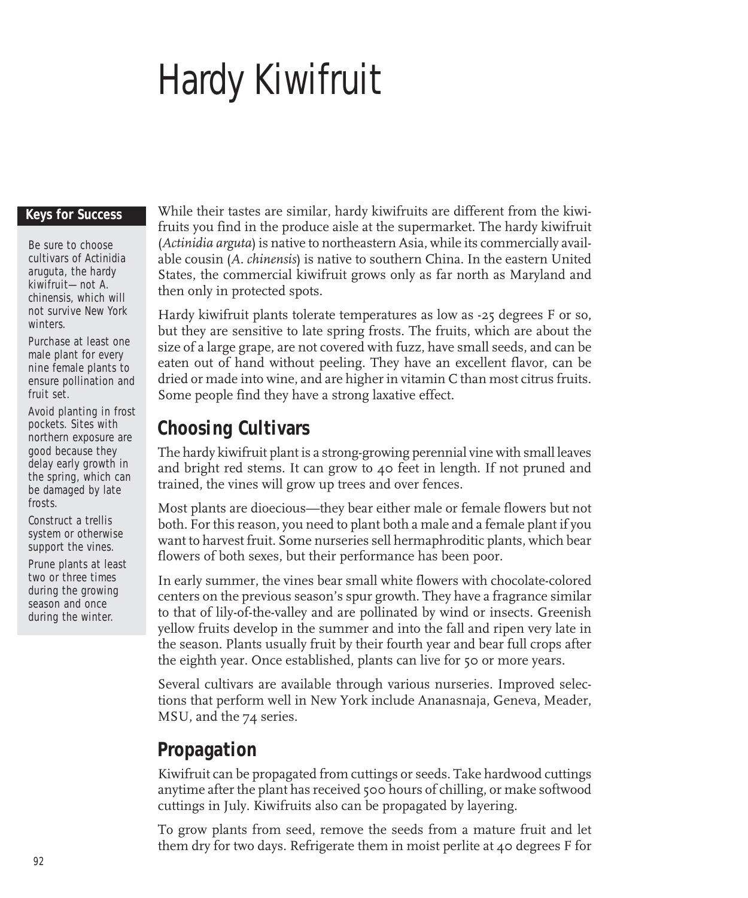# Hardy Kiwifruit

#### **Keys for Success**

Be sure to choose cultivars of *Actinidia aruguta,* the hardy kiwifruit—not *A. chinensis*, which will not survive New York winters.

Purchase at least one male plant for every nine female plants to ensure pollination and fruit set.

Avoid planting in frost pockets. Sites with northern exposure are good because they delay early growth in the spring, which can be damaged by late frosts.

Construct a trellis system or otherwise support the vines.

Prune plants at least two or three times during the growing season and once during the winter.

While their tastes are similar, hardy kiwifruits are different from the kiwifruits you find in the produce aisle at the supermarket. The hardy kiwifruit (*Actinidia arguta*) is native to northeastern Asia, while its commercially available cousin (*A. chinensis*) is native to southern China. In the eastern United States, the commercial kiwifruit grows only as far north as Maryland and then only in protected spots.

Hardy kiwifruit plants tolerate temperatures as low as -25 degrees F or so, but they are sensitive to late spring frosts. The fruits, which are about the size of a large grape, are not covered with fuzz, have small seeds, and can be eaten out of hand without peeling. They have an excellent flavor, can be dried or made into wine, and are higher in vitamin C than most citrus fruits. Some people find they have a strong laxative effect.

# **Choosing Cultivars**

The hardy kiwifruit plant is a strong-growing perennial vine with small leaves and bright red stems. It can grow to 40 feet in length. If not pruned and trained, the vines will grow up trees and over fences.

Most plants are dioecious—they bear either male or female flowers but not both. For this reason, you need to plant both a male and a female plant if you want to harvest fruit. Some nurseries sell hermaphroditic plants, which bear flowers of both sexes, but their performance has been poor.

In early summer, the vines bear small white flowers with chocolate-colored centers on the previous season's spur growth. They have a fragrance similar to that of lily-of-the-valley and are pollinated by wind or insects. Greenish yellow fruits develop in the summer and into the fall and ripen very late in the season. Plants usually fruit by their fourth year and bear full crops after the eighth year. Once established, plants can live for 50 or more years.

Several cultivars are available through various nurseries. Improved selections that perform well in New York include Ananasnaja, Geneva, Meader, MSU, and the 74 series.

### **Propagation**

Kiwifruit can be propagated from cuttings or seeds. Take hardwood cuttings anytime after the plant has received 500 hours of chilling, or make softwood cuttings in July. Kiwifruits also can be propagated by layering.

To grow plants from seed, remove the seeds from a mature fruit and let them dry for two days. Refrigerate them in moist perlite at 40 degrees F for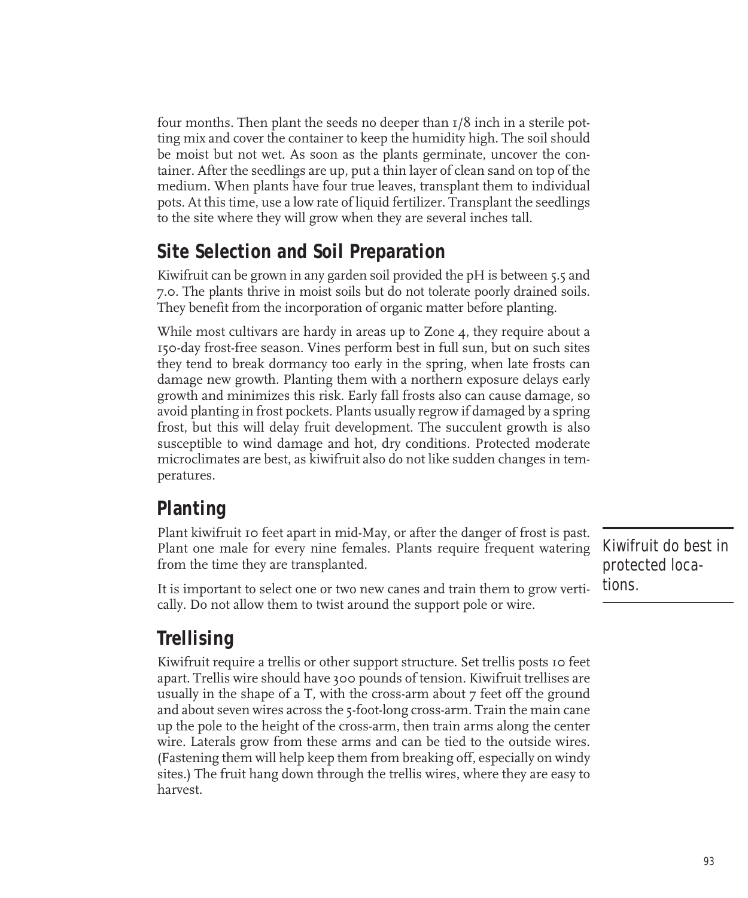four months. Then plant the seeds no deeper than 1/8 inch in a sterile potting mix and cover the container to keep the humidity high. The soil should be moist but not wet. As soon as the plants germinate, uncover the container. After the seedlings are up, put a thin layer of clean sand on top of the medium. When plants have four true leaves, transplant them to individual pots. At this time, use a low rate of liquid fertilizer. Transplant the seedlings to the site where they will grow when they are several inches tall.

#### **Site Selection and Soil Preparation**

Kiwifruit can be grown in any garden soil provided the pH is between 5.5 and 7.0. The plants thrive in moist soils but do not tolerate poorly drained soils. They benefit from the incorporation of organic matter before planting.

While most cultivars are hardy in areas up to Zone 4, they require about a 150-day frost-free season. Vines perform best in full sun, but on such sites they tend to break dormancy too early in the spring, when late frosts can damage new growth. Planting them with a northern exposure delays early growth and minimizes this risk. Early fall frosts also can cause damage, so avoid planting in frost pockets. Plants usually regrow if damaged by a spring frost, but this will delay fruit development. The succulent growth is also susceptible to wind damage and hot, dry conditions. Protected moderate microclimates are best, as kiwifruit also do not like sudden changes in temperatures.

### **Planting**

Plant kiwifruit 10 feet apart in mid-May, or after the danger of frost is past. Plant one male for every nine females. Plants require frequent watering from the time they are transplanted.

It is important to select one or two new canes and train them to grow vertically. Do not allow them to twist around the support pole or wire.

**Trellising**

Kiwifruit require a trellis or other support structure. Set trellis posts 10 feet apart. Trellis wire should have 300 pounds of tension. Kiwifruit trellises are usually in the shape of a T, with the cross-arm about 7 feet off the ground and about seven wires across the 5-foot-long cross-arm. Train the main cane up the pole to the height of the cross-arm, then train arms along the center wire. Laterals grow from these arms and can be tied to the outside wires. (Fastening them will help keep them from breaking off, especially on windy sites.) The fruit hang down through the trellis wires, where they are easy to harvest.

Kiwifruit do best in protected locations.